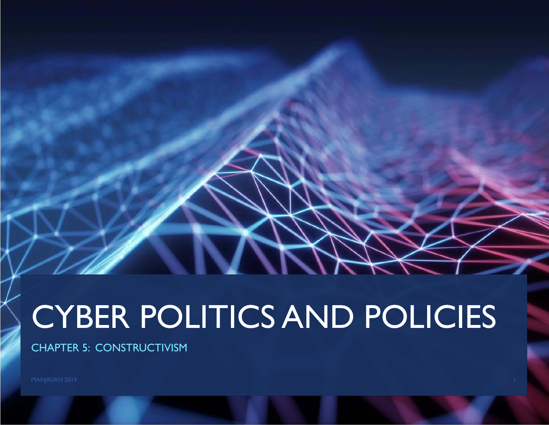# CYBER POLITICS AND POLICIES

CHAPTER 5: CONSTRUCTIVISM

MANJIKIAN 2019 **1986 - Pada Secara Perancil Perancil** Perancil Perancil Perancil Perancil Perancil Perancil Perancil Perancil Perancil Perancil Perancil Perancil Perancil Perancil Perancil Perancil Perancil Perancil Peranc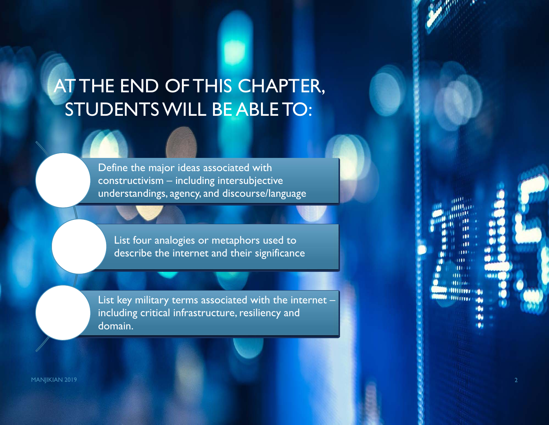### AT THE END OF THIS CHAPTER, STUDENTS WILL BE ABLE TO:

Define the major ideas associated with constructivism – including intersubjective understandings, agency, and discourse/language

List four analogies or metaphors used to describe the internet and their significance

List key military terms associated with the internet – including critical infrastructure, resiliency and domain.

MANJIKIAN 2019 **2018 - Pamasang Pamasang Pamasang Pamasang Pamasang Pamasang Pamasang Pamasang Pamasang Pamasang**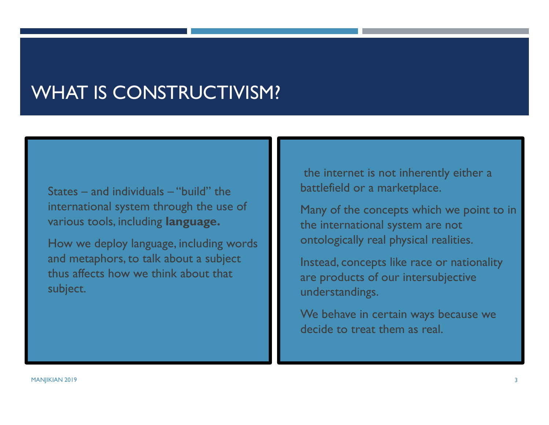#### WHAT IS CONSTRUCTIVISM?

 States – and individuals – "build" the international system through the use of various tools, including **language.** 

 How we deploy language, including words and metaphors, to talk about a subject thus affects how we think about that subject.

 the internet is not inherently either a battlefield or a marketplace.

 Many of the concepts which we point to in the international system are not ontologically real physical realities.

 Instead, concepts like race or nationality are products of our intersubjective understandings.

 We behave in certain ways because we decide to treat them as real.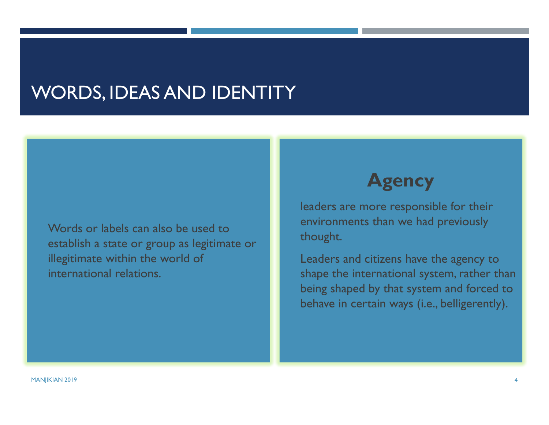#### WORDS, IDEAS AND IDENTITY

 Words or labels can also be used to establish a state or group as legitimate or illegitimate within the world of international relations.

#### **Agency**

 leaders are more responsible for their environments than we had previously thought.

 Leaders and citizens have the agency to shape the international system, rather than being shaped by that system and forced to behave in certain ways (i.e., belligerently).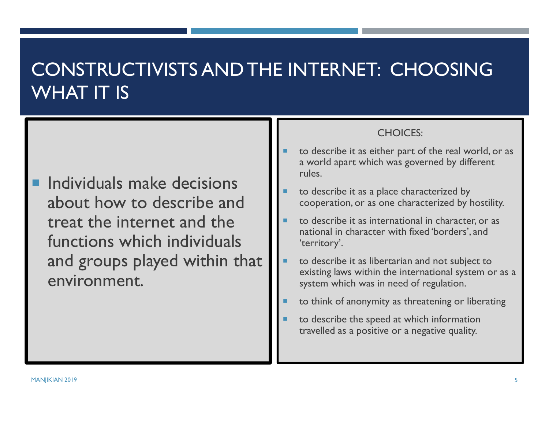#### CONSTRUCTIVISTS AND THE INTERNET: CHOOSING WHAT IT IS

 Individuals make decisions about how to describe and treat the internet and the functions which individuals and groups played within that environment.

#### CHOICES:

- П to describe it as either part of the real world, or as a world apart which was governed by different rules.
- to describe it as a place characterized by cooperation, or as one characterized by hostility.
- to describe it as international in character, or as national in character with fixed 'borders', and 'territory'.
- П to describe it as libertarian and not subject to existing laws within the international system or as a system which was in need of regulation.
- to think of anonymity as threatening or liberating
- П to describe the speed at which information travelled as a positive or a negative quality.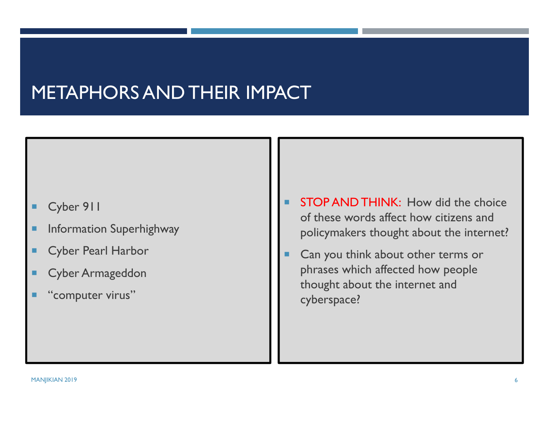#### METAPHORS AND THEIR IMPACT

- п Cyber 911
- п Information Superhighway
- ٠ Cyber Pearl Harbor
- п Cyber Armageddon
- ٠ "computer virus"
- П STOP AND THINK: How did the choice of these words affect how citizens and policymakers thought about the internet?
- Г Can you think about other terms or phrases which affected how people thought about the internet and cyberspace?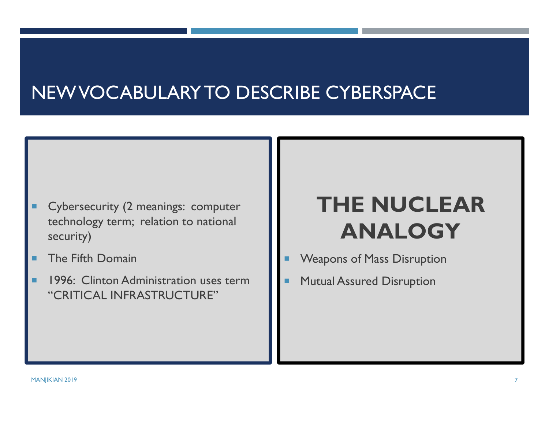#### NEW VOCABULARY TO DESCRIBE CYBERSPACE

- Cybersecurity (2 meanings: computer technology term; relation to national security)
- ٠ The Fifth Domain
- ٠ 1996: Clinton Administration uses term "CRITICAL INFRASTRUCTURE"

## **THE NUCLEAR ANALOGY**

- П Weapons of Mass Disruption
- Mutual Assured Disruption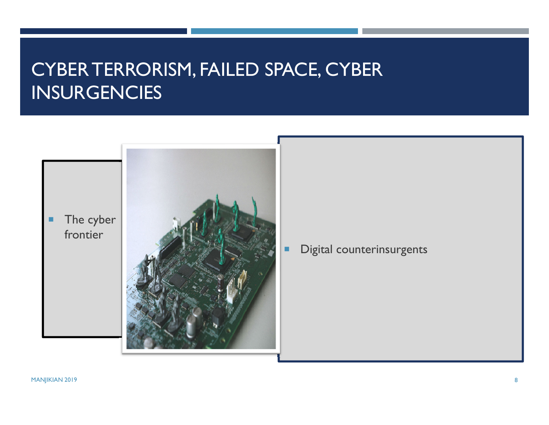#### CYBER TERRORISM, FAILED SPACE, CYBER INSURGENCIES

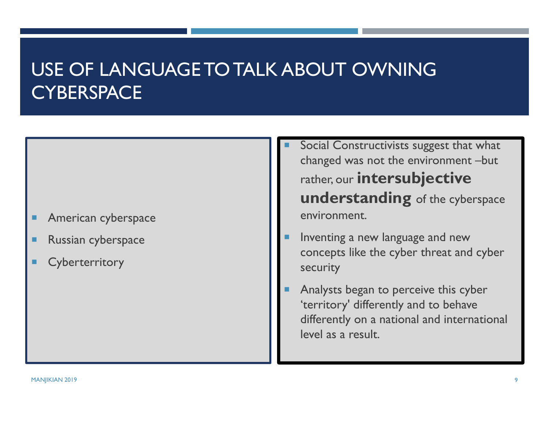#### USE OF LANGUAGE TO TALK ABOUT OWNING **CYBERSPACE**

- п American cyberspace
- п Russian cyberspace
- п **Cyberterritory**
- Г Social Constructivists suggest that what changed was not the environment –but rather, our **intersubjective understanding** of the cyberspace environment.
- Г Inventing a new language and new concepts like the cyber threat and cyber security
- Analysts began to perceive this cyber 'territory' differently and to behave differently on a national and international level as a result.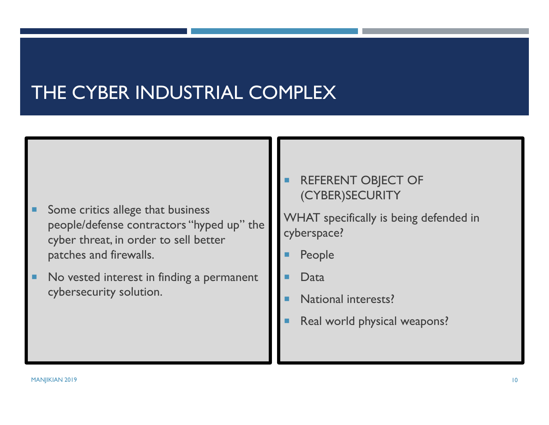#### THE CYBER INDUSTRIAL COMPLEX

- Some critics allege that business people/defense contractors "hyped up" the cyber threat, in order to sell better patches and firewalls.
- п No vested interest in finding a permanent cybersecurity solution.

▉ REFERENT OBJECT OF (CYBER)SECURITY

WHAT specifically is being defended in cyberspace?

- П People
- Data
- П National interests?
- Real world physical weapons?